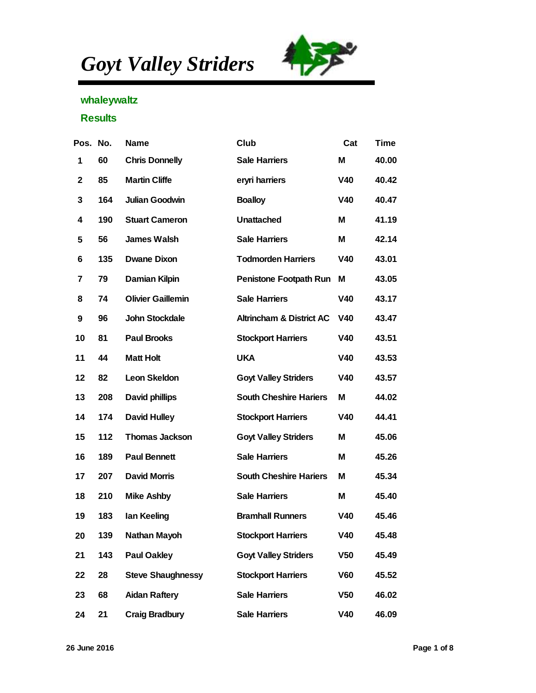*Goyt Valley Striders*



## whaleywaltz

## **Results**

| Pos. No. |     | Name                     | Club                        | Cat             | Time  |
|----------|-----|--------------------------|-----------------------------|-----------------|-------|
| 1        | 60  | <b>Chris Donnelly</b>    | Sale Harriers               | M               | 40.00 |
| 2        | 85  | <b>Martin Cliffe</b>     | eryri harriers              | V40             | 40.42 |
| 3        | 164 | Julian Goodwin           | <b>Boalloy</b>              | V40             | 40.47 |
| 4        | 190 | <b>Stuart Cameron</b>    | Unattached                  | M               | 41.19 |
| 5        | 56  | James Walsh              | Sale Harriers               | M               | 42.14 |
| 6        | 135 | Dwane Dixon              | <b>Todmorden Harriers</b>   | V40             | 43.01 |
| 7        | 79  | Damian Kilpin            | Penistone Footpath Run      | M               | 43.05 |
| 8        | 74  | <b>Olivier Gaillemin</b> | Sale Harriers               | V40             | 43.17 |
| 9        | 96  | John Stockdale           | Altrincham & District AC    | V40             | 43.47 |
| 10       | 81  | Paul Brooks              | <b>Stockport Harriers</b>   | V40             | 43.51 |
| 11       | 44  | Matt Holt                | <b>UKA</b>                  | V40             | 43.53 |
| 12       | 82  | Leon Skeldon             | <b>Goyt Valley Striders</b> | V40             | 43.57 |
| 13       | 208 | David phillips           | South Cheshire Hariers      | M               | 44.02 |
| 14       | 174 | David Hulley             | <b>Stockport Harriers</b>   | V40             | 44.41 |
| 15       | 112 | Thomas Jackson           | <b>Goyt Valley Striders</b> | M               | 45.06 |
| 16       | 189 | Paul Bennett             | Sale Harriers               | M               | 45.26 |
| 17       | 207 | David Morris             | South Cheshire Hariers      | M               | 45.34 |
| 18       | 210 | Mike Ashby               | Sale Harriers               | M               | 45.40 |
| 19       | 183 | lan Keeling              | <b>Bramhall Runners</b>     | V40             | 45.46 |
| 20       | 139 | Nathan Mayoh             | <b>Stockport Harriers</b>   | V40             | 45.48 |
| 21       | 143 | Paul Oakley              | <b>Goyt Valley Striders</b> | V50             | 45.49 |
| 22       | 28  | <b>Steve Shaughnessy</b> | <b>Stockport Harriers</b>   | V60             | 45.52 |
| 23       | 68  | Aidan Raftery            | Sale Harriers               | V <sub>50</sub> | 46.02 |
| 24       | 21  | Craig Bradbury           | Sale Harriers               | V40             | 46.09 |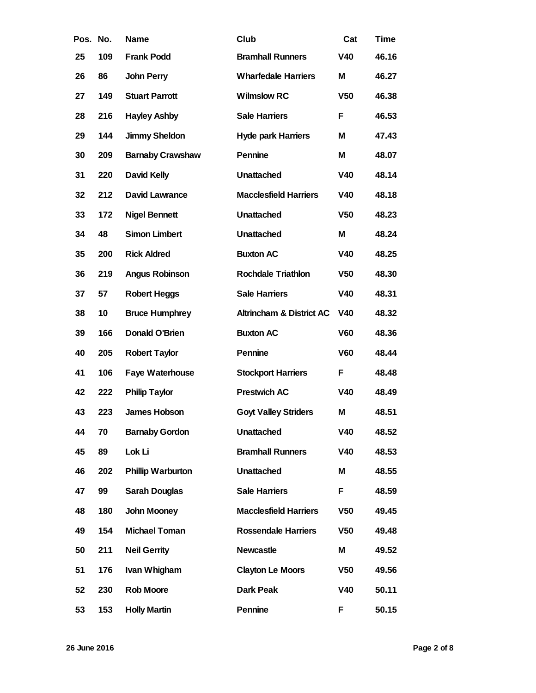| Pos. | No. | Name                    | Club                         | Cat             | Time  |
|------|-----|-------------------------|------------------------------|-----------------|-------|
| 25   | 109 | Frank Podd              | <b>Bramhall Runners</b>      | V40             | 46.16 |
| 26   | 86  | John Perry              | <b>Wharfedale Harriers</b>   | M               | 46.27 |
| 27   | 149 | <b>Stuart Parrott</b>   | <b>Wilmslow RC</b>           | V <sub>50</sub> | 46.38 |
| 28   | 216 | <b>Hayley Ashby</b>     | Sale Harriers                | F               | 46.53 |
| 29   | 144 | Jimmy Sheldon           | Hyde park Harriers           | M               | 47.43 |
| 30   | 209 | <b>Barnaby Crawshaw</b> | Pennine                      | M               | 48.07 |
| 31   | 220 | David Kelly             | Unattached                   | V40             | 48.14 |
| 32   | 212 | David Lawrance          | <b>Macclesfield Harriers</b> | V40             | 48.18 |
| 33   | 172 | <b>Nigel Bennett</b>    | Unattached                   | V <sub>50</sub> | 48.23 |
| 34   | 48  | Simon Limbert           | Unattached                   | M               | 48.24 |
| 35   | 200 | <b>Rick Aldred</b>      | <b>Buxton AC</b>             | V40             | 48.25 |
| 36   | 219 | Angus Robinson          | Rochdale Triathlon           | V <sub>50</sub> | 48.30 |
| 37   | 57  | Robert Heggs            | Sale Harriers                | V40             | 48.31 |
| 38   | 10  | <b>Bruce Humphrey</b>   | Altrincham & District AC     | V40             | 48.32 |
| 39   | 166 | Donald O'Brien          | <b>Buxton AC</b>             | V60             | 48.36 |
| 40   | 205 | <b>Robert Taylor</b>    | Pennine                      | V60             | 48.44 |
| 41   | 106 | Faye Waterhouse         | <b>Stockport Harriers</b>    | F               | 48.48 |
| 42   | 222 | Philip Taylor           | Prestwich AC                 | V40             | 48.49 |
| 43   | 223 | James Hobson            | <b>Goyt Valley Striders</b>  | M               | 48.51 |
| 44   | 70  | <b>Barnaby Gordon</b>   | Unattached                   | V40             | 48.52 |
| 45   | 89  | Lok Li                  | <b>Bramhall Runners</b>      | V40             | 48.53 |
| 46   | 202 | Phillip Warburton       | Unattached                   | M               | 48.55 |
| 47   | 99  | Sarah Douglas           | Sale Harriers                | F               | 48.59 |
| 48   | 180 | John Mooney             | <b>Macclesfield Harriers</b> | V <sub>50</sub> | 49.45 |
| 49   | 154 | Michael Toman           | <b>Rossendale Harriers</b>   | V <sub>50</sub> | 49.48 |
| 50   | 211 | <b>Neil Gerrity</b>     | Newcastle                    | M               | 49.52 |
| 51   | 176 | Ivan Whigham            | Clayton Le Moors             | V <sub>50</sub> | 49.56 |
| 52   | 230 | Rob Moore               | Dark Peak                    | V40             | 50.11 |
| 53   | 153 | <b>Holly Martin</b>     | Pennine                      | F               | 50.15 |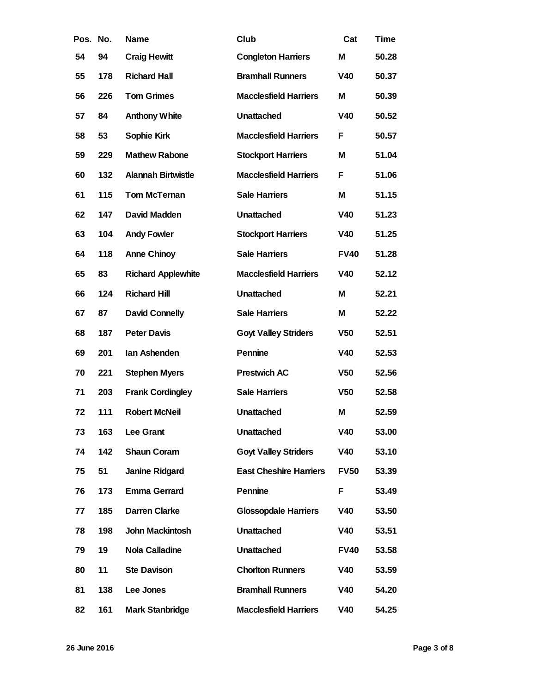| Pos. | No. | Name                      | Club                          | Cat             | Time  |
|------|-----|---------------------------|-------------------------------|-----------------|-------|
| 54   | 94  | <b>Craig Hewitt</b>       | <b>Congleton Harriers</b>     | M               | 50.28 |
| 55   | 178 | <b>Richard Hall</b>       | <b>Bramhall Runners</b>       | V40             | 50.37 |
| 56   | 226 | <b>Tom Grimes</b>         | <b>Macclesfield Harriers</b>  | M               | 50.39 |
| 57   | 84  | Anthony White             | Unattached                    | V40             | 50.52 |
| 58   | 53  | Sophie Kirk               | <b>Macclesfield Harriers</b>  | F               | 50.57 |
| 59   | 229 | <b>Mathew Rabone</b>      | <b>Stockport Harriers</b>     | Μ               | 51.04 |
| 60   | 132 | Alannah Birtwistle        | <b>Macclesfield Harriers</b>  | F               | 51.06 |
| 61   | 115 | Tom McTernan              | Sale Harriers                 | M               | 51.15 |
| 62   | 147 | David Madden              | Unattached                    | V40             | 51.23 |
| 63   | 104 | Andy Fowler               | <b>Stockport Harriers</b>     | V40             | 51.25 |
| 64   | 118 | Anne Chinoy               | Sale Harriers                 | <b>FV40</b>     | 51.28 |
| 65   | 83  | <b>Richard Applewhite</b> | <b>Macclesfield Harriers</b>  | V40             | 52.12 |
| 66   | 124 | <b>Richard Hill</b>       | Unattached                    | M               | 52.21 |
| 67   | 87  | David Connelly            | Sale Harriers                 | M               | 52.22 |
| 68   | 187 | Peter Davis               | <b>Goyt Valley Striders</b>   | V <sub>50</sub> | 52.51 |
| 69   | 201 | lan Ashenden              | Pennine                       | V40             | 52.53 |
| 70   | 221 | Stephen Myers             | Prestwich AC                  | V <sub>50</sub> | 52.56 |
| 71   | 203 | Frank Cordingley          | Sale Harriers                 | V <sub>50</sub> | 52.58 |
| 72   | 111 | Robert McNeil             | Unattached                    | M               | 52.59 |
| 73   | 163 | Lee Grant                 | Unattached                    | V40             | 53.00 |
| 74   | 142 | Shaun Coram               | <b>Goyt Valley Striders</b>   | V40             | 53.10 |
| 75   | 51  | Janine Ridgard            | <b>East Cheshire Harriers</b> | <b>FV50</b>     | 53.39 |
| 76   | 173 | Emma Gerrard              | Pennine                       | F               | 53.49 |
| 77   | 185 | Darren Clarke             | Glossopdale Harriers          | V40             | 53.50 |
| 78   | 198 | John Mackintosh           | Unattached                    | V40             | 53.51 |
| 79   | 19  | Nola Calladine            | Unattached                    | <b>FV40</b>     | 53.58 |
| 80   | 11  | Ste Davison               | <b>Chorlton Runners</b>       | V40             | 53.59 |
| 81   | 138 | Lee Jones                 | <b>Bramhall Runners</b>       | V40             | 54.20 |
| 82   | 161 | Mark Stanbridge           | <b>Macclesfield Harriers</b>  | V40             | 54.25 |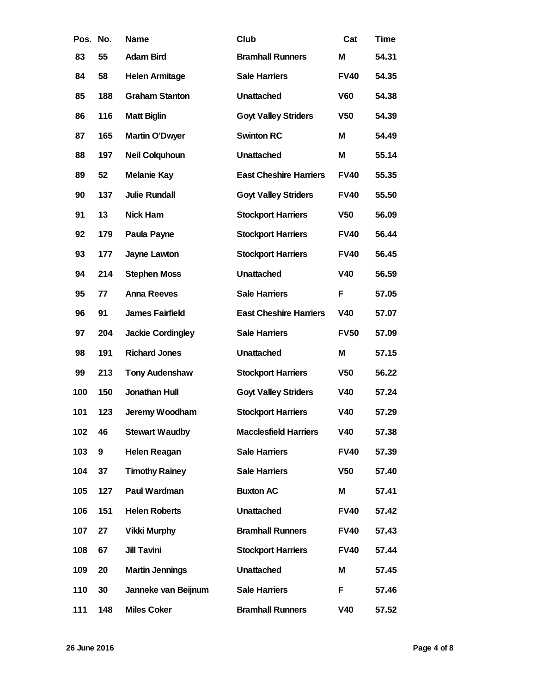| Pos. | No. | Name                  | Club                          | Cat             | Time  |
|------|-----|-----------------------|-------------------------------|-----------------|-------|
| 83   | 55  | Adam Bird             | <b>Bramhall Runners</b>       | M               | 54.31 |
| 84   | 58  | Helen Armitage        | Sale Harriers                 | <b>FV40</b>     | 54.35 |
| 85   | 188 | <b>Graham Stanton</b> | Unattached                    | V60             | 54.38 |
| 86   | 116 | Matt Biglin           | <b>Goyt Valley Striders</b>   | V <sub>50</sub> | 54.39 |
| 87   | 165 | Martin O'Dwyer        | Swinton RC                    | M               | 54.49 |
| 88   | 197 | Neil Colquhoun        | Unattached                    | M               | 55.14 |
| 89   | 52  | Melanie Kay           | <b>East Cheshire Harriers</b> | <b>FV40</b>     | 55.35 |
| 90   | 137 | Julie Rundall         | <b>Goyt Valley Striders</b>   | <b>FV40</b>     | 55.50 |
| 91   | 13  | Nick Ham              | <b>Stockport Harriers</b>     | V <sub>50</sub> | 56.09 |
| 92   | 179 | Paula Payne           | <b>Stockport Harriers</b>     | <b>FV40</b>     | 56.44 |
| 93   | 177 | Jayne Lawton          | <b>Stockport Harriers</b>     | <b>FV40</b>     | 56.45 |
| 94   | 214 | <b>Stephen Moss</b>   | Unattached                    | V40             | 56.59 |
| 95   | 77  | Anna Reeves           | Sale Harriers                 | F               | 57.05 |
| 96   | 91  | James Fairfield       | <b>East Cheshire Harriers</b> | V40             | 57.07 |
| 97   | 204 | Jackie Cordingley     | Sale Harriers                 | <b>FV50</b>     | 57.09 |
| 98   | 191 | <b>Richard Jones</b>  | Unattached                    | M               | 57.15 |
| 99   | 213 | Tony Audenshaw        | <b>Stockport Harriers</b>     | V <sub>50</sub> | 56.22 |
| 100  | 150 | Jonathan Hull         | <b>Goyt Valley Striders</b>   | V40             | 57.24 |
| 101  | 123 | Jeremy Woodham        | <b>Stockport Harriers</b>     | V40             | 57.29 |
| 102  | 46  | <b>Stewart Waudby</b> | <b>Macclesfield Harriers</b>  | V40             | 57.38 |
| 103  | 9   | Helen Reagan          | Sale Harriers                 | <b>FV40</b>     | 57.39 |
| 104  | 37  | <b>Timothy Rainey</b> | Sale Harriers                 | V <sub>50</sub> | 57.40 |
| 105  | 127 | Paul Wardman          | <b>Buxton AC</b>              | M               | 57.41 |
| 106  | 151 | <b>Helen Roberts</b>  | Unattached                    | <b>FV40</b>     | 57.42 |
| 107  | 27  | Vikki Murphy          | <b>Bramhall Runners</b>       | <b>FV40</b>     | 57.43 |
| 108  | 67  | <b>Jill Tavini</b>    | <b>Stockport Harriers</b>     | <b>FV40</b>     | 57.44 |
| 109  | 20  | Martin Jennings       | Unattached                    | M               | 57.45 |
| 110  | 30  | Janneke van Beijnum   | Sale Harriers                 | F               | 57.46 |
| 111  | 148 | Miles Coker           | <b>Bramhall Runners</b>       | V40             | 57.52 |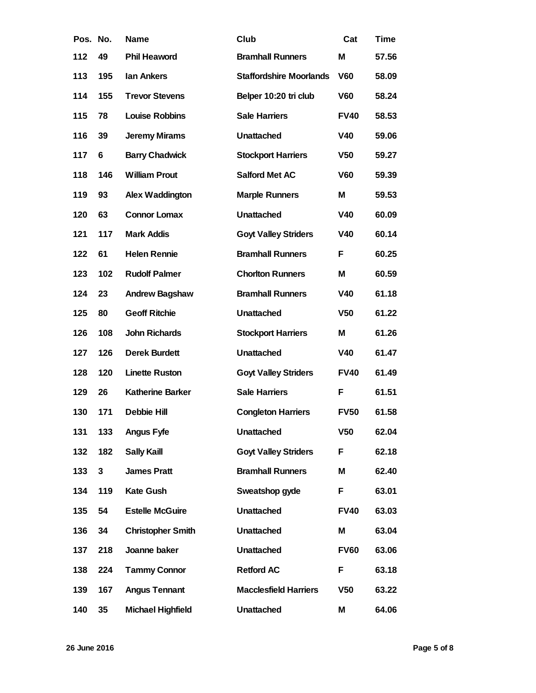| Pos. No. |     | Name                     | Club                           | Cat             | Time  |
|----------|-----|--------------------------|--------------------------------|-----------------|-------|
| 112      | 49  | Phil Heaword             | <b>Bramhall Runners</b>        | M               | 57.56 |
| 113      | 195 | lan Ankers               | <b>Staffordshire Moorlands</b> | V60             | 58.09 |
| 114      | 155 | <b>Trevor Stevens</b>    | Belper 10:20 tri club          | V60             | 58.24 |
| 115      | 78  | Louise Robbins           | Sale Harriers                  | <b>FV40</b>     | 58.53 |
| 116      | 39  | Jeremy Mirams            | Unattached                     | V40             | 59.06 |
| 117      | 6   | <b>Barry Chadwick</b>    | <b>Stockport Harriers</b>      | V <sub>50</sub> | 59.27 |
| 118      | 146 | <b>William Prout</b>     | Salford Met AC                 | V60             | 59.39 |
| 119      | 93  | Alex Waddington          | <b>Marple Runners</b>          | M               | 59.53 |
| 120      | 63  | Connor Lomax             | Unattached                     | V40             | 60.09 |
| 121      | 117 | Mark Addis               | <b>Goyt Valley Striders</b>    | V40             | 60.14 |
| 122      | 61  | Helen Rennie             | <b>Bramhall Runners</b>        | F               | 60.25 |
| 123      | 102 | <b>Rudolf Palmer</b>     | <b>Chorlton Runners</b>        | M               | 60.59 |
| 124      | 23  | Andrew Bagshaw           | <b>Bramhall Runners</b>        | V40             | 61.18 |
| 125      | 80  | <b>Geoff Ritchie</b>     | Unattached                     | V <sub>50</sub> | 61.22 |
| 126      | 108 | John Richards            | <b>Stockport Harriers</b>      | M               | 61.26 |
| 127      | 126 | Derek Burdett            | Unattached                     | V40             | 61.47 |
| 128      | 120 | Linette Ruston           | <b>Goyt Valley Striders</b>    | <b>FV40</b>     | 61.49 |
| 129      | 26  | Katherine Barker         | Sale Harriers                  | F               | 61.51 |
| 130      | 171 | Debbie Hill              | <b>Congleton Harriers</b>      | <b>FV50</b>     | 61.58 |
| 131      | 133 | Angus Fyfe               | Unattached                     | V <sub>50</sub> | 62.04 |
| 132      | 182 | Sally Kaill              | <b>Goyt Valley Striders</b>    | F               | 62.18 |
| 133      | 3   | James Pratt              | <b>Bramhall Runners</b>        | M               | 62.40 |
| 134      | 119 | Kate Gush                | Sweatshop gyde                 | F               | 63.01 |
| 135      | 54  | <b>Estelle McGuire</b>   | Unattached                     | <b>FV40</b>     | 63.03 |
| 136      | 34  | <b>Christopher Smith</b> | Unattached                     | M               | 63.04 |
| 137      | 218 | Joanne baker             | Unattached                     | <b>FV60</b>     | 63.06 |
| 138      | 224 | <b>Tammy Connor</b>      | <b>Retford AC</b>              | F               | 63.18 |
| 139      | 167 | Angus Tennant            | <b>Macclesfield Harriers</b>   | V <sub>50</sub> | 63.22 |
| 140      | 35  | Michael Highfield        | Unattached                     | M               | 64.06 |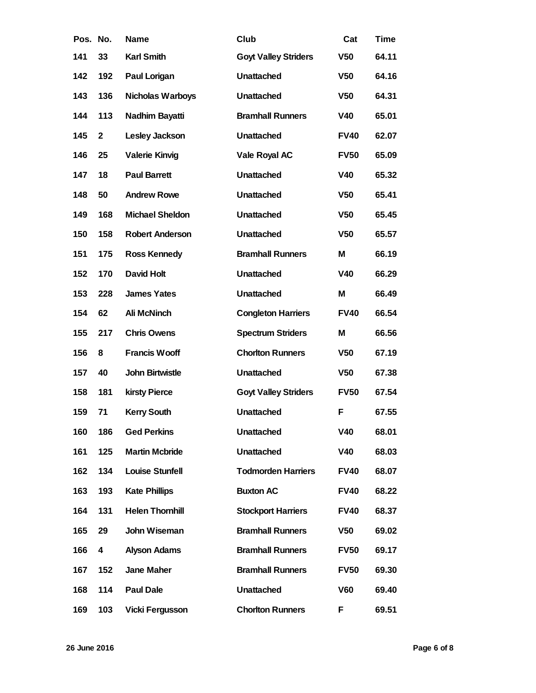| Pos. No. |                | Name                   | Club                        | Cat             | Time  |
|----------|----------------|------------------------|-----------------------------|-----------------|-------|
| 141      | 33             | Karl Smith             | <b>Goyt Valley Striders</b> | V <sub>50</sub> | 64.11 |
| 142      | 192            | Paul Lorigan           | Unattached                  | V <sub>50</sub> | 64.16 |
| 143      | 136            | Nicholas Warboys       | Unattached                  | V <sub>50</sub> | 64.31 |
| 144      | 113            | Nadhim Bayatti         | <b>Bramhall Runners</b>     | V40             | 65.01 |
| 145      | $\overline{2}$ | Lesley Jackson         | Unattached                  | <b>FV40</b>     | 62.07 |
| 146      | 25             | Valerie Kinvig         | Vale Royal AC               | <b>FV50</b>     | 65.09 |
| 147      | 18             | <b>Paul Barrett</b>    | Unattached                  | V40             | 65.32 |
| 148      | 50             | <b>Andrew Rowe</b>     | Unattached                  | V <sub>50</sub> | 65.41 |
| 149      | 168            | Michael Sheldon        | Unattached                  | V <sub>50</sub> | 65.45 |
| 150      | 158            | Robert Anderson        | Unattached                  | V <sub>50</sub> | 65.57 |
| 151      | 175            | Ross Kennedy           | <b>Bramhall Runners</b>     | M               | 66.19 |
| 152      | 170            | David Holt             | Unattached                  | V40             | 66.29 |
| 153      | 228            | James Yates            | Unattached                  | M               | 66.49 |
| 154      | 62             | Ali McNinch            | <b>Congleton Harriers</b>   | <b>FV40</b>     | 66.54 |
| 155      | 217            | <b>Chris Owens</b>     | <b>Spectrum Striders</b>    | M               | 66.56 |
| 156      | 8              | Francis Wooff          | <b>Chorlton Runners</b>     | V <sub>50</sub> | 67.19 |
| 157      | 40             | John Birtwistle        | Unattached                  | V <sub>50</sub> | 67.38 |
| 158      | 181            | kirsty Pierce          | <b>Goyt Valley Striders</b> | <b>FV50</b>     | 67.54 |
| 159      | 71             | <b>Kerry South</b>     | Unattached                  | F               | 67.55 |
| 160      | 186            | <b>Ged Perkins</b>     | Unattached                  | V40             | 68.01 |
| 161      | 125            | <b>Martin Mcbride</b>  | Unattached                  | V40             | 68.03 |
| 162      | 134            | Louise Stunfell        | <b>Todmorden Harriers</b>   | <b>FV40</b>     | 68.07 |
| 163      | 193            | <b>Kate Phillips</b>   | <b>Buxton AC</b>            | <b>FV40</b>     | 68.22 |
| 164      | 131            | <b>Helen Thornhill</b> | <b>Stockport Harriers</b>   | <b>FV40</b>     | 68.37 |
| 165      | 29             | John Wiseman           | <b>Bramhall Runners</b>     | V <sub>50</sub> | 69.02 |
| 166      | 4              | Alyson Adams           | <b>Bramhall Runners</b>     | <b>FV50</b>     | 69.17 |
| 167      | 152            | Jane Maher             | <b>Bramhall Runners</b>     | <b>FV50</b>     | 69.30 |
| 168      | 114            | Paul Dale              | Unattached                  | V60             | 69.40 |
| 169      | 103            | Vicki Fergusson        | <b>Chorlton Runners</b>     | F               | 69.51 |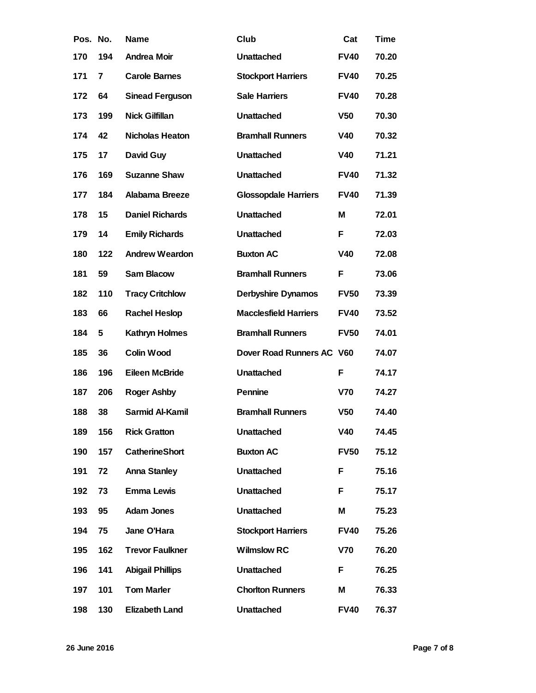| Pos. No. |     | Name                    | Club                         | Cat             | Time  |
|----------|-----|-------------------------|------------------------------|-----------------|-------|
| 170      | 194 | Andrea Moir             | Unattached                   | <b>FV40</b>     | 70.20 |
| 171      | 7   | Carole Barnes           | <b>Stockport Harriers</b>    | <b>FV40</b>     | 70.25 |
| 172      | 64  | Sinead Ferguson         | Sale Harriers                | <b>FV40</b>     | 70.28 |
| 173      | 199 | Nick Gilfillan          | Unattached                   | V <sub>50</sub> | 70.30 |
| 174      | 42  | Nicholas Heaton         | <b>Bramhall Runners</b>      | V40             | 70.32 |
| 175      | 17  | David Guy               | Unattached                   | V40             | 71.21 |
| 176      | 169 | <b>Suzanne Shaw</b>     | Unattached                   | <b>FV40</b>     | 71.32 |
| 177      | 184 | Alabama Breeze          | <b>Glossopdale Harriers</b>  | <b>FV40</b>     | 71.39 |
| 178      | 15  | Daniel Richards         | Unattached                   | M               | 72.01 |
| 179      | 14  | <b>Emily Richards</b>   | Unattached                   | F               | 72.03 |
| 180      | 122 | Andrew Weardon          | <b>Buxton AC</b>             | V40             | 72.08 |
| 181      | 59  | Sam Blacow              | <b>Bramhall Runners</b>      | F               | 73.06 |
| 182      | 110 | <b>Tracy Critchlow</b>  | Derbyshire Dynamos           | <b>FV50</b>     | 73.39 |
| 183      | 66  | Rachel Heslop           | <b>Macclesfield Harriers</b> | <b>FV40</b>     | 73.52 |
| 184      | 5   | Kathryn Holmes          | <b>Bramhall Runners</b>      | <b>FV50</b>     | 74.01 |
| 185      | 36  | Colin Wood              | Dover Road Runners AC V60    |                 | 74.07 |
| 186      | 196 | Eileen McBride          | Unattached                   | F               | 74.17 |
| 187      | 206 | Roger Ashby             | Pennine                      | V70             | 74.27 |
| 188      | 38  | Sarmid Al-Kamil         | <b>Bramhall Runners</b>      | V <sub>50</sub> | 74.40 |
| 189      | 156 | <b>Rick Gratton</b>     | Unattached                   | V40             | 74.45 |
| 190      | 157 | CatherineShort          | <b>Buxton AC</b>             | <b>FV50</b>     | 75.12 |
| 191      | 72  | Anna Stanley            | Unattached                   | F               | 75.16 |
| 192      | 73  | Emma Lewis              | Unattached                   | F               | 75.17 |
| 193      | 95  | Adam Jones              | Unattached                   | M               | 75.23 |
| 194      | 75  | Jane O'Hara             | <b>Stockport Harriers</b>    | <b>FV40</b>     | 75.26 |
| 195      | 162 | <b>Trevor Faulkner</b>  | <b>Wilmslow RC</b>           | V70             | 76.20 |
| 196      | 141 | <b>Abigail Phillips</b> | Unattached                   | F               | 76.25 |
| 197      | 101 | <b>Tom Marler</b>       | <b>Chorlton Runners</b>      | M               | 76.33 |
| 198      | 130 | Elizabeth Land          | Unattached                   | <b>FV40</b>     | 76.37 |